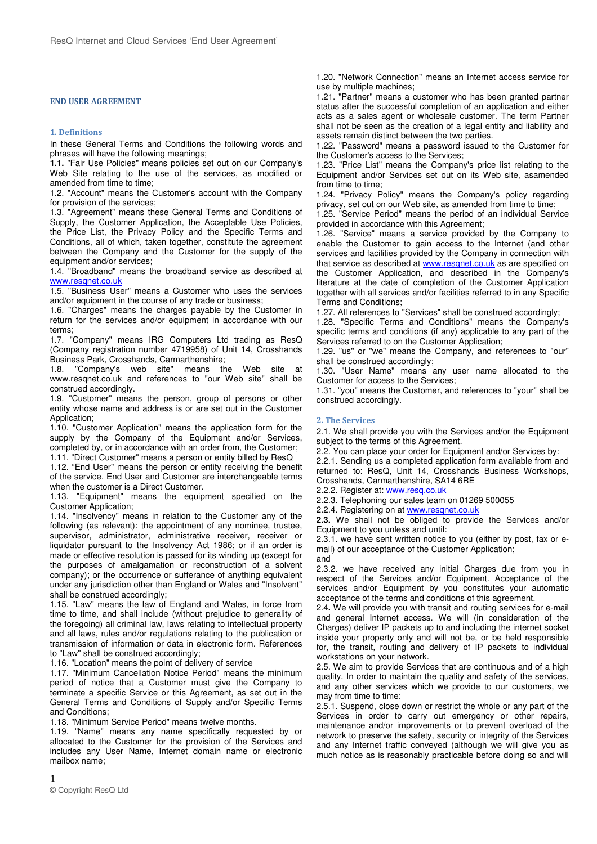#### **END USER AGREEMENT**

### **1. Definitions**

In these General Terms and Conditions the following words and phrases will have the following meanings;

**1.1.** "Fair Use Policies" means policies set out on our Company's Web Site relating to the use of the services, as modified or amended from time to time;

1.2. "Account" means the Customer's account with the Company for provision of the services;

1.3. "Agreement" means these General Terms and Conditions of Supply, the Customer Application, the Acceptable Use Policies, the Price List, the Privacy Policy and the Specific Terms and Conditions, all of which, taken together, constitute the agreement between the Company and the Customer for the supply of the equipment and/or services;

1.4. "Broadband" means the broadband service as described at www.resqnet.co.uk

1.5. "Business User" means a Customer who uses the services and/or equipment in the course of any trade or business;

1.6. "Charges" means the charges payable by the Customer in return for the services and/or equipment in accordance with our terms;

1.7. "Company" means IRG Computers Ltd trading as ResQ (Company registration number 4719958) of Unit 14, Crosshands Business Park, Crosshands, Carmarthenshire;

1.8. "Company's web site" means the Web site at www.resqnet.co.uk and references to "our Web site" shall be construed accordingly.

1.9. "Customer" means the person, group of persons or other entity whose name and address is or are set out in the Customer Application;

1.10. "Customer Application" means the application form for the supply by the Company of the Equipment and/or Services, completed by, or in accordance with an order from, the Customer;

1.11. "Direct Customer" means a person or entity billed by ResQ

1.12. "End User" means the person or entity receiving the benefit of the service. End User and Customer are interchangeable terms when the customer is a Direct Customer.

1.13. "Equipment" means the equipment specified on the Customer Application;

1.14. "Insolvency" means in relation to the Customer any of the following (as relevant): the appointment of any nominee, trustee, supervisor, administrator, administrative receiver, receiver or liquidator pursuant to the Insolvency Act 1986; or if an order is made or effective resolution is passed for its winding up (except for the purposes of amalgamation or reconstruction of a solvent company); or the occurrence or sufferance of anything equivalent under any jurisdiction other than England or Wales and "Insolvent" shall be construed accordingly;

1.15. "Law" means the law of England and Wales, in force from time to time, and shall include (without prejudice to generality of the foregoing) all criminal law, laws relating to intellectual property and all laws, rules and/or regulations relating to the publication or transmission of information or data in electronic form. References to "Law" shall be construed accordingly;

1.16. "Location" means the point of delivery of service

1.17. "Minimum Cancellation Notice Period" means the minimum period of notice that a Customer must give the Company to terminate a specific Service or this Agreement, as set out in the General Terms and Conditions of Supply and/or Specific Terms and Conditions;

1.18. "Minimum Service Period" means twelve months.

1.19. "Name" means any name specifically requested by or allocated to the Customer for the provision of the Services and includes any User Name, Internet domain name or electronic mailbox name;

1.20. "Network Connection" means an Internet access service for use by multiple machines;

1.21. "Partner" means a customer who has been granted partner status after the successful completion of an application and either acts as a sales agent or wholesale customer. The term Partner shall not be seen as the creation of a legal entity and liability and assets remain distinct between the two parties.

1.22. "Password" means a password issued to the Customer for the Customer's access to the Services;

1.23. "Price List" means the Company's price list relating to the Equipment and/or Services set out on its Web site, asamended from time to time;

1.24. "Privacy Policy" means the Company's policy regarding privacy, set out on our Web site, as amended from time to time;

1.25. "Service Period" means the period of an individual Service provided in accordance with this Agreement;

1.26. "Service" means a service provided by the Company to enable the Customer to gain access to the Internet (and other services and facilities provided by the Company in connection with that service as described at www.resqnet.co.uk as are specified on the Customer Application, and described in the Company's literature at the date of completion of the Customer Application together with all services and/or facilities referred to in any Specific Terms and Conditions;

1.27. All references to "Services" shall be construed accordingly;

1.28. "Specific Terms and Conditions" means the Company's specific terms and conditions (if any) applicable to any part of the Services referred to on the Customer Application:

1.29. "us" or "we" means the Company, and references to "our" shall be construed accordingly;

1.30. "User Name" means any user name allocated to the Customer for access to the Services;

1.31. "you" means the Customer, and references to "your" shall be construed accordingly.

## **2. The Services**

2.1. We shall provide you with the Services and/or the Equipment subject to the terms of this Agreement.

2.2. You can place your order for Equipment and/or Services by:

2.2.1. Sending us a completed application form available from and returned to: ResQ, Unit 14, Crosshands Business Workshops, Crosshands, Carmarthenshire, SA14 6RE

2.2.2. Register at: www.resq.co.uk

2.2.3. Telephoning our sales team on 01269 500055

2.2.4. Registering on at www.resqnet.co.uk

**2.3.** We shall not be obliged to provide the Services and/or Equipment to you unless and until:

2.3.1. we have sent written notice to you (either by post, fax or email) of our acceptance of the Customer Application; and

2.3.2. we have received any initial Charges due from you in respect of the Services and/or Equipment. Acceptance of the services and/or Equipment by you constitutes your automatic acceptance of the terms and conditions of this agreement.

2.4**.** We will provide you with transit and routing services for e-mail and general Internet access. We will (in consideration of the Charges) deliver IP packets up to and including the internet socket inside your property only and will not be, or be held responsible for, the transit, routing and delivery of IP packets to individual workstations on your network.

2.5. We aim to provide Services that are continuous and of a high quality. In order to maintain the quality and safety of the services, and any other services which we provide to our customers, we may from time to time:

2.5.1. Suspend, close down or restrict the whole or any part of the Services in order to carry out emergency or other repairs, maintenance and/or improvements or to prevent overload of the network to preserve the safety, security or integrity of the Services and any Internet traffic conveyed (although we will give you as much notice as is reasonably practicable before doing so and will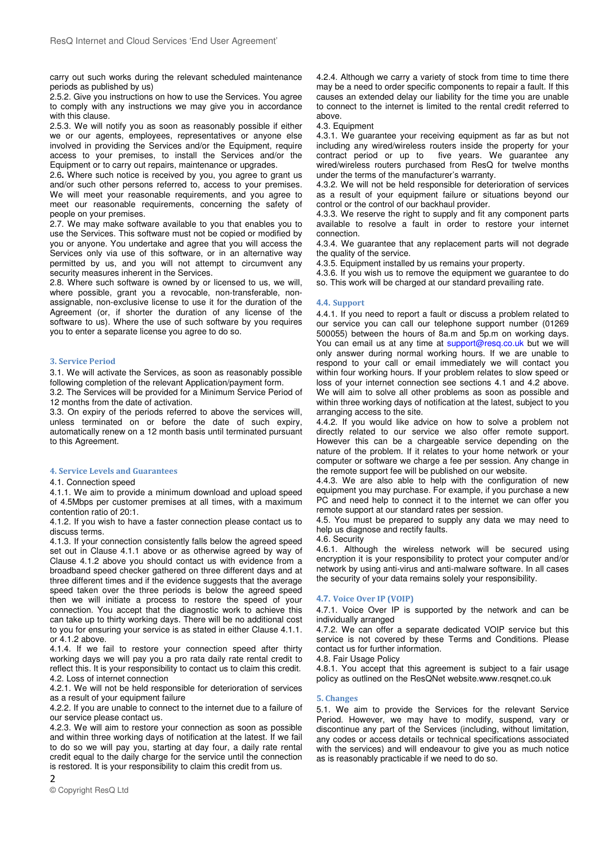carry out such works during the relevant scheduled maintenance periods as published by us)

2.5.2. Give you instructions on how to use the Services. You agree to comply with any instructions we may give you in accordance with this clause.

2.5.3. We will notify you as soon as reasonably possible if either we or our agents, employees, representatives or anyone else involved in providing the Services and/or the Equipment, require access to your premises, to install the Services and/or the Equipment or to carry out repairs, maintenance or upgrades.

2.6**.** Where such notice is received by you, you agree to grant us and/or such other persons referred to, access to your premises. We will meet your reasonable requirements, and you agree to meet our reasonable requirements, concerning the safety of people on your premises.

2.7. We may make software available to you that enables you to use the Services. This software must not be copied or modified by you or anyone. You undertake and agree that you will access the Services only via use of this software, or in an alternative way permitted by us, and you will not attempt to circumvent any security measures inherent in the Services.

2.8. Where such software is owned by or licensed to us, we will, where possible, grant you a revocable, non-transferable, nonassignable, non-exclusive license to use it for the duration of the Agreement (or, if shorter the duration of any license of the software to us). Where the use of such software by you requires you to enter a separate license you agree to do so.

### **3. Service Period**

3.1. We will activate the Services, as soon as reasonably possible following completion of the relevant Application/payment form.

3.2. The Services will be provided for a Minimum Service Period of 12 months from the date of activation.

3.3. On expiry of the periods referred to above the services will, unless terminated on or before the date of such expiry, automatically renew on a 12 month basis until terminated pursuant to this Agreement.

# **4. Service Levels and Guarantees**

# 4.1. Connection speed

4.1.1. We aim to provide a minimum download and upload speed of 4.5Mbps per customer premises at all times, with a maximum contention ratio of 20:1.

4.1.2. If you wish to have a faster connection please contact us to discuss terms.

4.1.3. If your connection consistently falls below the agreed speed set out in Clause 4.1.1 above or as otherwise agreed by way of Clause 4.1.2 above you should contact us with evidence from a broadband speed checker gathered on three different days and at three different times and if the evidence suggests that the average speed taken over the three periods is below the agreed speed then we will initiate a process to restore the speed of your connection. You accept that the diagnostic work to achieve this can take up to thirty working days. There will be no additional cost to you for ensuring your service is as stated in either Clause 4.1.1. or 4.1.2 above.

4.1.4. If we fail to restore your connection speed after thirty working days we will pay you a pro rata daily rate rental credit to reflect this. It is your responsibility to contact us to claim this credit. 4.2. Loss of internet connection

4.2.1. We will not be held responsible for deterioration of services as a result of your equipment failure

4.2.2. If you are unable to connect to the internet due to a failure of our service please contact us.

4.2.3. We will aim to restore your connection as soon as possible and within three working days of notification at the latest. If we fail to do so we will pay you, starting at day four, a daily rate rental credit equal to the daily charge for the service until the connection is restored. It is your responsibility to claim this credit from us.

 $\mathfrak{p}$ © Copyright ResQ Ltd 4.2.4. Although we carry a variety of stock from time to time there may be a need to order specific components to repair a fault. If this causes an extended delay our liability for the time you are unable to connect to the internet is limited to the rental credit referred to above.

4.3. Equipment

4.3.1. We guarantee your receiving equipment as far as but not including any wired/wireless routers inside the property for your five years. We guarantee any wired/wireless routers purchased from ResQ for twelve months under the terms of the manufacturer's warranty.

4.3.2. We will not be held responsible for deterioration of services as a result of your equipment failure or situations beyond our control or the control of our backhaul provider.

4.3.3. We reserve the right to supply and fit any component parts available to resolve a fault in order to restore your internet connection.

4.3.4. We guarantee that any replacement parts will not degrade the quality of the service.

4.3.5. Equipment installed by us remains your property.

4.3.6. If you wish us to remove the equipment we guarantee to do so. This work will be charged at our standard prevailing rate.

### **4.4. Support**

4.4.1. If you need to report a fault or discuss a problem related to our service you can call our telephone support number (01269 500055) between the hours of 8a.m and 5p.m on working days. You can email us at any time at support@resq.co.uk but we will only answer during normal working hours. If we are unable to respond to your call or email immediately we will contact you within four working hours. If your problem relates to slow speed or loss of your internet connection see sections 4.1 and 4.2 above. We will aim to solve all other problems as soon as possible and within three working days of notification at the latest, subject to you arranging access to the site.

4.4.2. If you would like advice on how to solve a problem not directly related to our service we also offer remote support. However this can be a chargeable service depending on the nature of the problem. If it relates to your home network or your computer or software we charge a fee per session. Any change in the remote support fee will be published on our website.

4.4.3. We are also able to help with the configuration of new equipment you may purchase. For example, if you purchase a new PC and need help to connect it to the internet we can offer you remote support at our standard rates per session.

4.5. You must be prepared to supply any data we may need to help us diagnose and rectify faults.

4.6. Security

4.6.1. Although the wireless network will be secured using encryption it is your responsibility to protect your computer and/or network by using anti-virus and anti-malware software. In all cases the security of your data remains solely your responsibility.

## **4.7. Voice Over IP (VOIP)**

4.7.1. Voice Over IP is supported by the network and can be individually arranged

4.7.2. We can offer a separate dedicated VOIP service but this service is not covered by these Terms and Conditions. Please contact us for further information.

4.8. Fair Usage Policy

4.8.1. You accept that this agreement is subject to a fair usage policy as outlined on the ResQNet website.www.resqnet.co.uk

### **5. Changes**

5.1. We aim to provide the Services for the relevant Service Period. However, we may have to modify, suspend, vary or discontinue any part of the Services (including, without limitation, any codes or access details or technical specifications associated with the services) and will endeavour to give you as much notice as is reasonably practicable if we need to do so.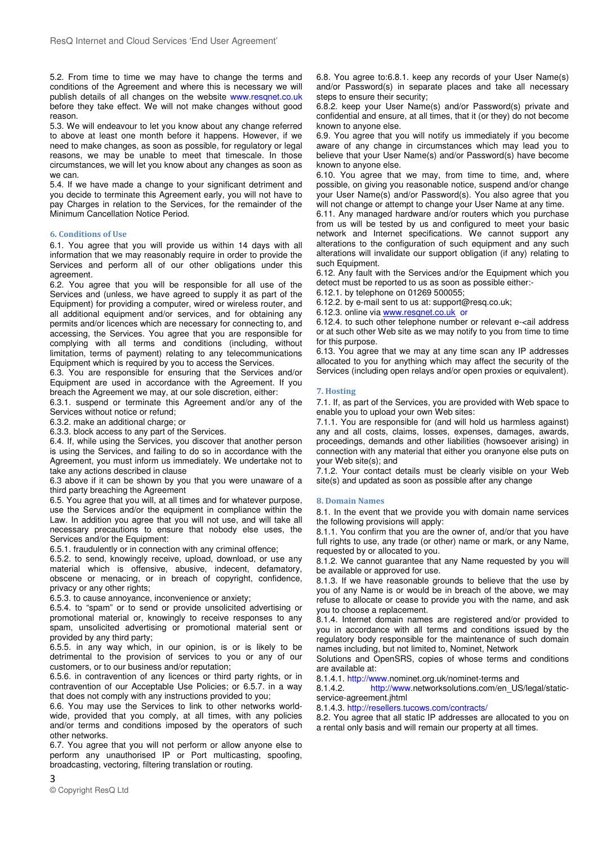5.2. From time to time we may have to change the terms and conditions of the Agreement and where this is necessary we will publish details of all changes on the website www.resqnet.co.uk before they take effect. We will not make changes without good reason.

5.3. We will endeavour to let you know about any change referred to above at least one month before it happens. However, if we need to make changes, as soon as possible, for regulatory or legal reasons, we may be unable to meet that timescale. In those circumstances, we will let you know about any changes as soon as we can.

5.4. If we have made a change to your significant detriment and you decide to terminate this Agreement early, you will not have to pay Charges in relation to the Services, for the remainder of the Minimum Cancellation Notice Period.

## **6. Conditions of Use**

6.1. You agree that you will provide us within 14 days with all information that we may reasonably require in order to provide the Services and perform all of our other obligations under this agreement.

6.2. You agree that you will be responsible for all use of the Services and (unless, we have agreed to supply it as part of the Equipment) for providing a computer, wired or wireless router, and all additional equipment and/or services, and for obtaining any permits and/or licences which are necessary for connecting to, and accessing, the Services. You agree that you are responsible for complying with all terms and conditions (including, without limitation, terms of payment) relating to any telecommunications Equipment which is required by you to access the Services.

6.3. You are responsible for ensuring that the Services and/or Equipment are used in accordance with the Agreement. If you breach the Agreement we may, at our sole discretion, either:

6.3.1. suspend or terminate this Agreement and/or any of the Services without notice or refund;

6.3.2. make an additional charge; or

6.3.3. block access to any part of the Services.

6.4. If, while using the Services, you discover that another person is using the Services, and failing to do so in accordance with the Agreement, you must inform us immediately. We undertake not to take any actions described in clause

6.3 above if it can be shown by you that you were unaware of a third party breaching the Agreement

6.5. You agree that you will, at all times and for whatever purpose, use the Services and/or the equipment in compliance within the Law. In addition you agree that you will not use, and will take all necessary precautions to ensure that nobody else uses, the Services and/or the Equipment:

6.5.1. fraudulently or in connection with any criminal offence;

6.5.2. to send, knowingly receive, upload, download, or use any material which is offensive, abusive, indecent, defamatory, obscene or menacing, or in breach of copyright, confidence, privacy or any other rights:

6.5.3. to cause annoyance, inconvenience or anxiety;

6.5.4. to "spam" or to send or provide unsolicited advertising or promotional material or, knowingly to receive responses to any spam, unsolicited advertising or promotional material sent or provided by any third party;

6.5.5. in any way which, in our opinion, is or is likely to be detrimental to the provision of services to you or any of our customers, or to our business and/or reputation;

6.5.6. in contravention of any licences or third party rights, or in contravention of our Acceptable Use Policies; or 6.5.7. in a way that does not comply with any instructions provided to you;

6.6. You may use the Services to link to other networks worldwide, provided that you comply, at all times, with any policies and/or terms and conditions imposed by the operators of such other networks.

6.7. You agree that you will not perform or allow anyone else to perform any unauthorised IP or Port multicasting, spoofing, broadcasting, vectoring, filtering translation or routing.

6.8. You agree to:6.8.1. keep any records of your User Name(s) and/or Password(s) in separate places and take all necessary steps to ensure their security;

6.8.2. keep your User Name(s) and/or Password(s) private and confidential and ensure, at all times, that it (or they) do not become known to anyone else.

6.9. You agree that you will notify us immediately if you become aware of any change in circumstances which may lead you to believe that your User Name(s) and/or Password(s) have become known to anyone else.

6.10. You agree that we may, from time to time, and, where possible, on giving you reasonable notice, suspend and/or change your User Name(s) and/or Password(s). You also agree that you will not change or attempt to change your User Name at any time.

6.11. Any managed hardware and/or routers which you purchase from us will be tested by us and configured to meet your basic network and Internet specifications. We cannot support any alterations to the configuration of such equipment and any such alterations will invalidate our support obligation (if any) relating to such Equipment.

6.12. Any fault with the Services and/or the Equipment which you detect must be reported to us as soon as possible either:- 6.12.1. by telephone on 01269 500055;

6.12.2. by e-mail sent to us at: support@resq.co.uk;

6.12.3. online via www.resqnet.co.uk or

6.12.4. to such other telephone number or relevant e-<ail address or at such other Web site as we may notify to you from time to time for this purpose.

6.13. You agree that we may at any time scan any IP addresses allocated to you for anything which may affect the security of the Services (including open relays and/or open proxies or equivalent).

#### **7. Hosting**

7.1. If, as part of the Services, you are provided with Web space to enable you to upload your own Web sites:

7.1.1. You are responsible for (and will hold us harmless against) any and all costs, claims, losses, expenses, damages, awards, proceedings, demands and other liabilities (howsoever arising) in connection with any material that either you oranyone else puts on your Web site(s); and

7.1.2. Your contact details must be clearly visible on your Web site(s) and updated as soon as possible after any change

### **8. Domain Names**

8.1. In the event that we provide you with domain name services the following provisions will apply:

8.1.1. You confirm that you are the owner of, and/or that you have full rights to use, any trade (or other) name or mark, or any Name, requested by or allocated to you.

8.1.2. We cannot guarantee that any Name requested by you will be available or approved for use.

8.1.3. If we have reasonable grounds to believe that the use by you of any Name is or would be in breach of the above, we may refuse to allocate or cease to provide you with the name, and ask you to choose a replacement.

8.1.4. Internet domain names are registered and/or provided to you in accordance with all terms and conditions issued by the regulatory body responsible for the maintenance of such domain names including, but not limited to, Nominet, Network

Solutions and OpenSRS, copies of whose terms and conditions are available at:

8.1.4.1. http://www.nominet.org.uk/nominet-terms and

8.1.4.2. http://www.networksolutions.com/en\_US/legal/staticservice-agreement.jhtml

8.1.4.3. http://resellers.tucows.com/contracts/

8.2. You agree that all static IP addresses are allocated to you on a rental only basis and will remain our property at all times.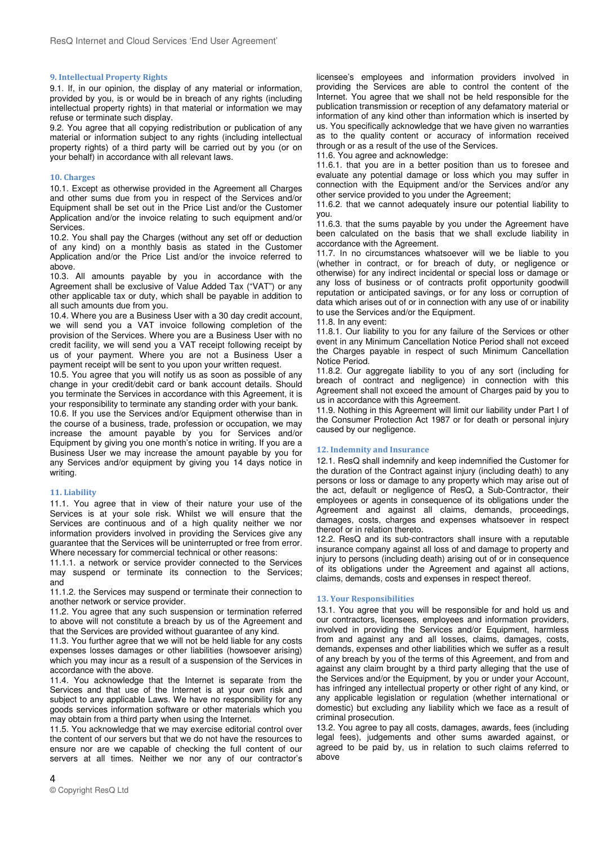#### **9. Intellectual Property Rights**

9.1. If, in our opinion, the display of any material or information, provided by you, is or would be in breach of any rights (including intellectual property rights) in that material or information we may refuse or terminate such display.

9.2. You agree that all copying redistribution or publication of any material or information subject to any rights (including intellectual property rights) of a third party will be carried out by you (or on your behalf) in accordance with all relevant laws.

### **10. Charges**

10.1. Except as otherwise provided in the Agreement all Charges and other sums due from you in respect of the Services and/or Equipment shall be set out in the Price List and/or the Customer Application and/or the invoice relating to such equipment and/or **Services** 

10.2. You shall pay the Charges (without any set off or deduction of any kind) on a monthly basis as stated in the Customer Application and/or the Price List and/or the invoice referred to above.

10.3. All amounts payable by you in accordance with the Agreement shall be exclusive of Value Added Tax ("VAT") or any other applicable tax or duty, which shall be payable in addition to all such amounts due from you.

10.4. Where you are a Business User with a 30 day credit account, we will send you a VAT invoice following completion of the provision of the Services. Where you are a Business User with no credit facility, we will send you a VAT receipt following receipt by us of your payment. Where you are not a Business User a payment receipt will be sent to you upon your written request.

10.5. You agree that you will notify us as soon as possible of any change in your credit/debit card or bank account details. Should you terminate the Services in accordance with this Agreement, it is your responsibility to terminate any standing order with your bank.

10.6. If you use the Services and/or Equipment otherwise than in the course of a business, trade, profession or occupation, we may increase the amount payable by you for Services and/or Equipment by giving you one month's notice in writing. If you are a Business User we may increase the amount payable by you for any Services and/or equipment by giving you 14 days notice in writing.

### **11. Liability**

11.1. You agree that in view of their nature your use of the Services is at your sole risk. Whilst we will ensure that the Services are continuous and of a high quality neither we nor information providers involved in providing the Services give any guarantee that the Services will be uninterrupted or free from error. Where necessary for commercial technical or other reasons:

11.1.1. a network or service provider connected to the Services may suspend or terminate its connection to the Services; and

11.1.2. the Services may suspend or terminate their connection to another network or service provider.

11.2. You agree that any such suspension or termination referred to above will not constitute a breach by us of the Agreement and that the Services are provided without guarantee of any kind.

11.3. You further agree that we will not be held liable for any costs expenses losses damages or other liabilities (howsoever arising) which you may incur as a result of a suspension of the Services in accordance with the above.

11.4. You acknowledge that the Internet is separate from the Services and that use of the Internet is at your own risk and subject to any applicable Laws. We have no responsibility for any goods services information software or other materials which you may obtain from a third party when using the Internet.

11.5. You acknowledge that we may exercise editorial control over the content of our servers but that we do not have the resources to ensure nor are we capable of checking the full content of our servers at all times. Neither we nor any of our contractor's

licensee's employees and information providers involved in providing the Services are able to control the content of the Internet. You agree that we shall not be held responsible for the publication transmission or reception of any defamatory material or information of any kind other than information which is inserted by us. You specifically acknowledge that we have given no warranties as to the quality content or accuracy of information received through or as a result of the use of the Services.

11.6. You agree and acknowledge:

11.6.1. that you are in a better position than us to foresee and evaluate any potential damage or loss which you may suffer in connection with the Equipment and/or the Services and/or any other service provided to you under the Agreement;

11.6.2. that we cannot adequately insure our potential liability to you.

11.6.3. that the sums payable by you under the Agreement have been calculated on the basis that we shall exclude liability in accordance with the Agreement.

11.7. In no circumstances whatsoever will we be liable to you (whether in contract, or for breach of duty, or negligence or otherwise) for any indirect incidental or special loss or damage or any loss of business or of contracts profit opportunity goodwill reputation or anticipated savings, or for any loss or corruption of data which arises out of or in connection with any use of or inability to use the Services and/or the Equipment.

#### 11.8. In any event:

11.8.1. Our liability to you for any failure of the Services or other event in any Minimum Cancellation Notice Period shall not exceed the Charges payable in respect of such Minimum Cancellation Notice Period.

11.8.2. Our aggregate liability to you of any sort (including for breach of contract and negligence) in connection with this Agreement shall not exceed the amount of Charges paid by you to us in accordance with this Agreement.

11.9. Nothing in this Agreement will limit our liability under Part I of the Consumer Protection Act 1987 or for death or personal injury caused by our negligence.

### **12. Indemnity and Insurance**

12.1. ResQ shall indemnify and keep indemnified the Customer for the duration of the Contract against injury (including death) to any persons or loss or damage to any property which may arise out of the act, default or negligence of ResQ, a Sub-Contractor, their employees or agents in consequence of its obligations under the Agreement and against all claims, demands, proceedings, damages, costs, charges and expenses whatsoever in respect thereof or in relation thereto.

12.2. ResQ and its sub-contractors shall insure with a reputable insurance company against all loss of and damage to property and injury to persons (including death) arising out of or in consequence of its obligations under the Agreement and against all actions, claims, demands, costs and expenses in respect thereof.

### **13. Your Responsibilities**

13.1. You agree that you will be responsible for and hold us and our contractors, licensees, employees and information providers, involved in providing the Services and/or Equipment, harmless from and against any and all losses, claims, damages, costs, demands, expenses and other liabilities which we suffer as a result of any breach by you of the terms of this Agreement, and from and against any claim brought by a third party alleging that the use of the Services and/or the Equipment, by you or under your Account, has infringed any intellectual property or other right of any kind, or any applicable legislation or regulation (whether international or domestic) but excluding any liability which we face as a result of criminal prosecution.

13.2. You agree to pay all costs, damages, awards, fees (including legal fees), judgements and other sums awarded against, or agreed to be paid by, us in relation to such claims referred to above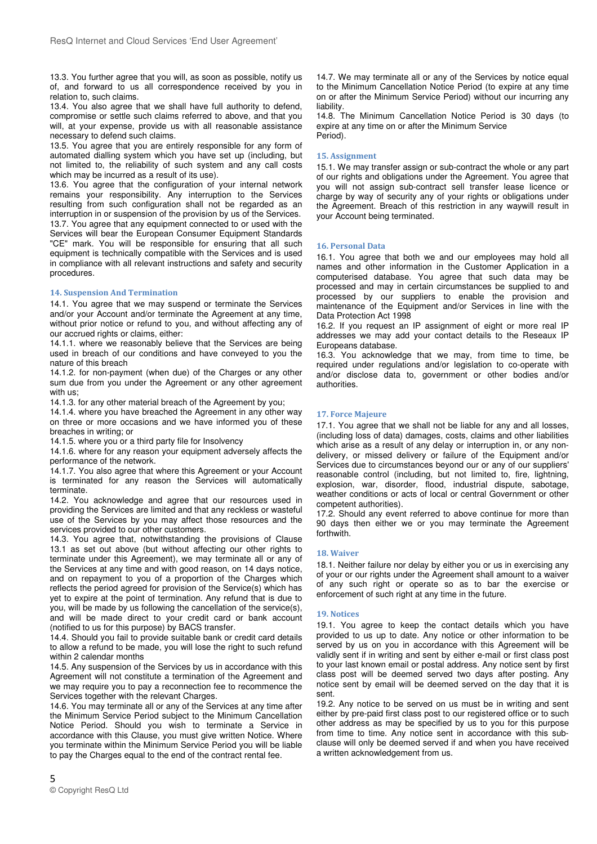13.3. You further agree that you will, as soon as possible, notify us of, and forward to us all correspondence received by you in relation to, such claims.

13.4. You also agree that we shall have full authority to defend, compromise or settle such claims referred to above, and that you will, at your expense, provide us with all reasonable assistance necessary to defend such claims.

13.5. You agree that you are entirely responsible for any form of automated dialling system which you have set up (including, but not limited to, the reliability of such system and any call costs which may be incurred as a result of its use).

13.6. You agree that the configuration of your internal network remains your responsibility. Any interruption to the Services resulting from such configuration shall not be regarded as an interruption in or suspension of the provision by us of the Services. 13.7. You agree that any equipment connected to or used with the Services will bear the European Consumer Equipment Standards "CE" mark. You will be responsible for ensuring that all such equipment is technically compatible with the Services and is used in compliance with all relevant instructions and safety and security procedures.

## **14. Suspension And Termination**

14.1. You agree that we may suspend or terminate the Services and/or your Account and/or terminate the Agreement at any time, without prior notice or refund to you, and without affecting any of our accrued rights or claims, either:

14.1.1. where we reasonably believe that the Services are being used in breach of our conditions and have conveyed to you the nature of this breach

14.1.2. for non-payment (when due) of the Charges or any other sum due from you under the Agreement or any other agreement with us:

14.1.3. for any other material breach of the Agreement by you;

14.1.4. where you have breached the Agreement in any other way on three or more occasions and we have informed you of these breaches in writing; or

14.1.5. where you or a third party file for Insolvency

14.1.6. where for any reason your equipment adversely affects the performance of the network.

14.1.7. You also agree that where this Agreement or your Account is terminated for any reason the Services will automatically terminate.

14.2. You acknowledge and agree that our resources used in providing the Services are limited and that any reckless or wasteful use of the Services by you may affect those resources and the services provided to our other customers.

14.3. You agree that, notwithstanding the provisions of Clause 13.1 as set out above (but without affecting our other rights to terminate under this Agreement), we may terminate all or any of the Services at any time and with good reason, on 14 days notice, and on repayment to you of a proportion of the Charges which reflects the period agreed for provision of the Service(s) which has yet to expire at the point of termination. Any refund that is due to you, will be made by us following the cancellation of the service(s), and will be made direct to your credit card or bank account (notified to us for this purpose) by BACS transfer.

14.4. Should you fail to provide suitable bank or credit card details to allow a refund to be made, you will lose the right to such refund within 2 calendar months

14.5. Any suspension of the Services by us in accordance with this Agreement will not constitute a termination of the Agreement and we may require you to pay a reconnection fee to recommence the Services together with the relevant Charges.

14.6. You may terminate all or any of the Services at any time after the Minimum Service Period subject to the Minimum Cancellation Notice Period. Should you wish to terminate a Service in accordance with this Clause, you must give written Notice. Where you terminate within the Minimum Service Period you will be liable to pay the Charges equal to the end of the contract rental fee.

14.7. We may terminate all or any of the Services by notice equal to the Minimum Cancellation Notice Period (to expire at any time on or after the Minimum Service Period) without our incurring any liability.

14.8. The Minimum Cancellation Notice Period is 30 days (to expire at any time on or after the Minimum Service Period).

#### **15. Assignment**

15.1. We may transfer assign or sub-contract the whole or any part of our rights and obligations under the Agreement. You agree that you will not assign sub-contract sell transfer lease licence or charge by way of security any of your rights or obligations under the Agreement. Breach of this restriction in any waywill result in your Account being terminated.

### **16. Personal Data**

16.1. You agree that both we and our employees may hold all names and other information in the Customer Application in a computerised database. You agree that such data may be processed and may in certain circumstances be supplied to and processed by our suppliers to enable the provision and maintenance of the Equipment and/or Services in line with the Data Protection Act 1998

16.2. If you request an IP assignment of eight or more real IP addresses we may add your contact details to the Reseaux IP Europeans database.

16.3. You acknowledge that we may, from time to time, be required under regulations and/or legislation to co-operate with and/or disclose data to, government or other bodies and/or authorities.

### **17. Force Majeure**

17.1. You agree that we shall not be liable for any and all losses, (including loss of data) damages, costs, claims and other liabilities which arise as a result of any delay or interruption in, or any nondelivery, or missed delivery or failure of the Equipment and/or Services due to circumstances beyond our or any of our suppliers' reasonable control (including, but not limited to, fire, lightning, explosion, war, disorder, flood, industrial dispute, sabotage, weather conditions or acts of local or central Government or other competent authorities).

17.2. Should any event referred to above continue for more than 90 days then either we or you may terminate the Agreement forthwith.

### **18. Waiver**

18.1. Neither failure nor delay by either you or us in exercising any of your or our rights under the Agreement shall amount to a waiver of any such right or operate so as to bar the exercise or enforcement of such right at any time in the future.

#### **19. Notices**

19.1. You agree to keep the contact details which you have provided to us up to date. Any notice or other information to be served by us on you in accordance with this Agreement will be validly sent if in writing and sent by either e-mail or first class post to your last known email or postal address. Any notice sent by first class post will be deemed served two days after posting. Any notice sent by email will be deemed served on the day that it is sent.

19.2. Any notice to be served on us must be in writing and sent either by pre-paid first class post to our registered office or to such other address as may be specified by us to you for this purpose from time to time. Any notice sent in accordance with this subclause will only be deemed served if and when you have received a written acknowledgement from us.